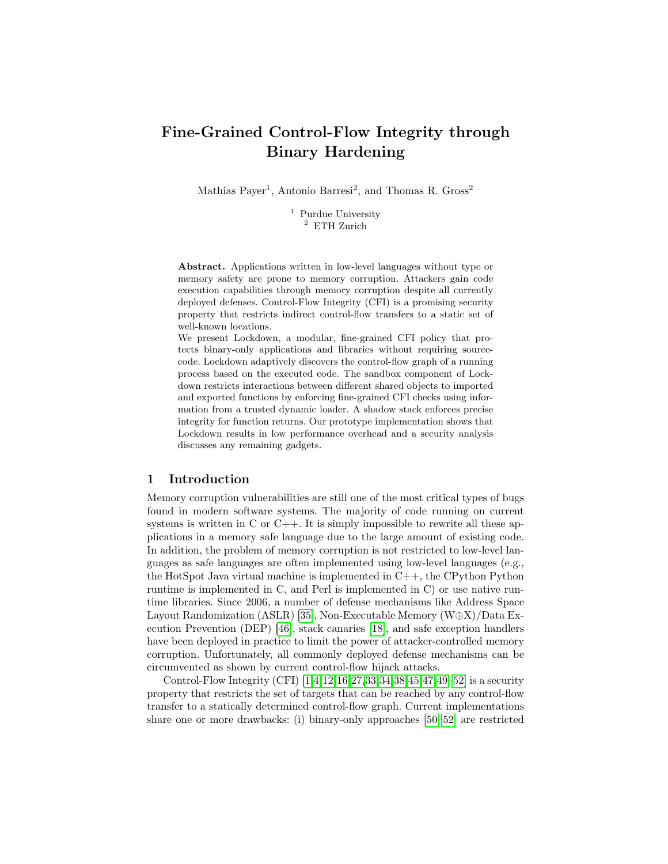# Fine-Grained Control-Flow Integrity through Binary Hardening

Mathias Payer<sup>1</sup>, Antonio Barresi<sup>2</sup>, and Thomas R. Gross<sup>2</sup>

<sup>1</sup> Purdue University <sup>2</sup> ETH Zurich

Abstract. Applications written in low-level languages without type or memory safety are prone to memory corruption. Attackers gain code execution capabilities through memory corruption despite all currently deployed defenses. Control-Flow Integrity (CFI) is a promising security property that restricts indirect control-flow transfers to a static set of well-known locations.

We present Lockdown, a modular, fine-grained CFI policy that protects binary-only applications and libraries without requiring sourcecode. Lockdown adaptively discovers the control-flow graph of a running process based on the executed code. The sandbox component of Lockdown restricts interactions between different shared objects to imported and exported functions by enforcing fine-grained CFI checks using information from a trusted dynamic loader. A shadow stack enforces precise integrity for function returns. Our prototype implementation shows that Lockdown results in low performance overhead and a security analysis discusses any remaining gadgets.

# 1 Introduction

Memory corruption vulnerabilities are still one of the most critical types of bugs found in modern software systems. The majority of code running on current systems is written in C or  $C_{++}$ . It is simply impossible to rewrite all these applications in a memory safe language due to the large amount of existing code. In addition, the problem of memory corruption is not restricted to low-level languages as safe languages are often implemented using low-level languages (e.g., the HotSpot Java virtual machine is implemented in C++, the CPython Python runtime is implemented in C, and Perl is implemented in C) or use native runtime libraries. Since 2006, a number of defense mechanisms like Address Space Layout Randomization (ASLR) [\[35\]](#page-19-0), Non-Executable Memory (W⊕X)/Data Execution Prevention (DEP) [\[46\]](#page-19-1), stack canaries [\[18\]](#page-18-0), and safe exception handlers have been deployed in practice to limit the power of attacker-controlled memory corruption. Unfortunately, all commonly deployed defense mechanisms can be circumvented as shown by current control-flow hijack attacks.

Control-Flow Integrity (CFI) [\[1,](#page-17-0)[4,](#page-17-1)[12,](#page-18-1)[16,](#page-18-2)[27,](#page-18-3)[33,](#page-19-2)[34,](#page-19-3)[38,](#page-19-4)[45,](#page-19-5)[47,](#page-19-6)[49](#page-19-7)[–52\]](#page-19-8) is a security property that restricts the set of targets that can be reached by any control-flow transfer to a statically determined control-flow graph. Current implementations share one or more drawbacks: (i) binary-only approaches [\[50–](#page-19-9)[52\]](#page-19-8) are restricted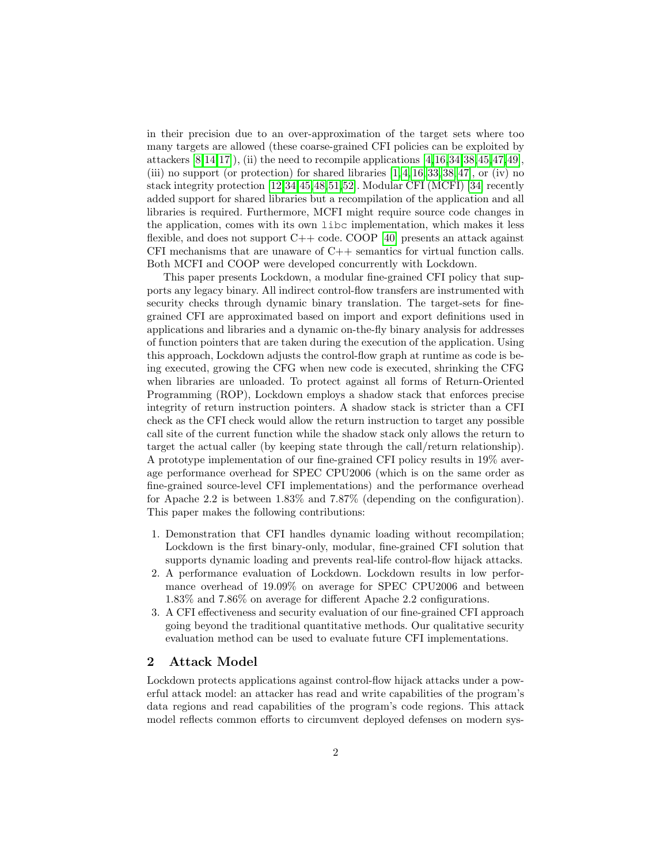in their precision due to an over-approximation of the target sets where too many targets are allowed (these coarse-grained CFI policies can be exploited by attackers  $[8,14,17]$  $[8,14,17]$  $[8,14,17]$ , (ii) the need to recompile applications  $[4,16,34,38,45,47,49]$  $[4,16,34,38,45,47,49]$  $[4,16,34,38,45,47,49]$  $[4,16,34,38,45,47,49]$  $[4,16,34,38,45,47,49]$  $[4,16,34,38,45,47,49]$  $[4,16,34,38,45,47,49]$ , (iii) no support (or protection) for shared libraries  $[1, 4, 16, 33, 38, 47]$  $[1, 4, 16, 33, 38, 47]$  $[1, 4, 16, 33, 38, 47]$  $[1, 4, 16, 33, 38, 47]$  $[1, 4, 16, 33, 38, 47]$  $[1, 4, 16, 33, 38, 47]$ , or (iv) no stack integrity protection [\[12,](#page-18-1)[34,](#page-19-3)[45,](#page-19-5)[48,](#page-19-10)[51,](#page-19-11)[52\]](#page-19-8). Modular CFI (MCFI) [\[34\]](#page-19-3) recently added support for shared libraries but a recompilation of the application and all libraries is required. Furthermore, MCFI might require source code changes in the application, comes with its own libc implementation, which makes it less flexible, and does not support  $C++$  code. COOP [\[40\]](#page-19-12) presents an attack against CFI mechanisms that are unaware of  $C++$  semantics for virtual function calls. Both MCFI and COOP were developed concurrently with Lockdown.

This paper presents Lockdown, a modular fine-grained CFI policy that supports any legacy binary. All indirect control-flow transfers are instrumented with security checks through dynamic binary translation. The target-sets for finegrained CFI are approximated based on import and export definitions used in applications and libraries and a dynamic on-the-fly binary analysis for addresses of function pointers that are taken during the execution of the application. Using this approach, Lockdown adjusts the control-flow graph at runtime as code is being executed, growing the CFG when new code is executed, shrinking the CFG when libraries are unloaded. To protect against all forms of Return-Oriented Programming (ROP), Lockdown employs a shadow stack that enforces precise integrity of return instruction pointers. A shadow stack is stricter than a CFI check as the CFI check would allow the return instruction to target any possible call site of the current function while the shadow stack only allows the return to target the actual caller (by keeping state through the call/return relationship). A prototype implementation of our fine-grained CFI policy results in 19% average performance overhead for SPEC CPU2006 (which is on the same order as fine-grained source-level CFI implementations) and the performance overhead for Apache 2.2 is between 1.83% and 7.87% (depending on the configuration). This paper makes the following contributions:

- 1. Demonstration that CFI handles dynamic loading without recompilation; Lockdown is the first binary-only, modular, fine-grained CFI solution that supports dynamic loading and prevents real-life control-flow hijack attacks.
- 2. A performance evaluation of Lockdown. Lockdown results in low performance overhead of 19.09% on average for SPEC CPU2006 and between 1.83% and 7.86% on average for different Apache 2.2 configurations.
- 3. A CFI effectiveness and security evaluation of our fine-grained CFI approach going beyond the traditional quantitative methods. Our qualitative security evaluation method can be used to evaluate future CFI implementations.

# 2 Attack Model

Lockdown protects applications against control-flow hijack attacks under a powerful attack model: an attacker has read and write capabilities of the program's data regions and read capabilities of the program's code regions. This attack model reflects common efforts to circumvent deployed defenses on modern sys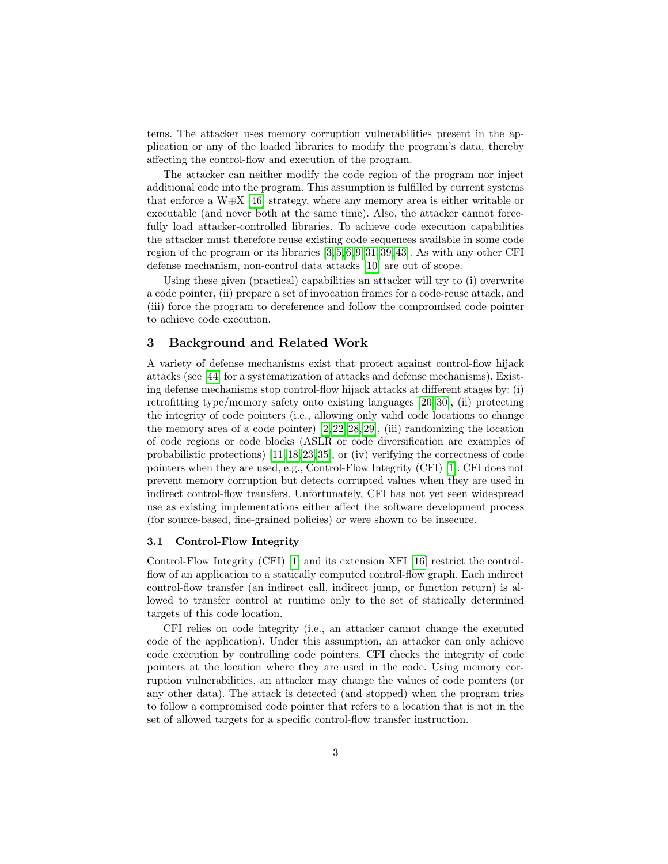tems. The attacker uses memory corruption vulnerabilities present in the application or any of the loaded libraries to modify the program's data, thereby affecting the control-flow and execution of the program.

The attacker can neither modify the code region of the program nor inject additional code into the program. This assumption is fulfilled by current systems that enforce a W⊕X [\[46\]](#page-19-1) strategy, where any memory area is either writable or executable (and never both at the same time). Also, the attacker cannot forcefully load attacker-controlled libraries. To achieve code execution capabilities the attacker must therefore reuse existing code sequences available in some code region of the program or its libraries  $[3, 5, 6, 9, 31, 39, 43]$  $[3, 5, 6, 9, 31, 39, 43]$  $[3, 5, 6, 9, 31, 39, 43]$  $[3, 5, 6, 9, 31, 39, 43]$  $[3, 5, 6, 9, 31, 39, 43]$  $[3, 5, 6, 9, 31, 39, 43]$  $[3, 5, 6, 9, 31, 39, 43]$ . As with any other CFI defense mechanism, non-control data attacks [\[10\]](#page-18-7) are out of scope.

Using these given (practical) capabilities an attacker will try to (i) overwrite a code pointer, (ii) prepare a set of invocation frames for a code-reuse attack, and (iii) force the program to dereference and follow the compromised code pointer to achieve code execution.

# 3 Background and Related Work

A variety of defense mechanisms exist that protect against control-flow hijack attacks (see [\[44\]](#page-19-16) for a systematization of attacks and defense mechanisms). Existing defense mechanisms stop control-flow hijack attacks at different stages by: (i) retrofitting type/memory safety onto existing languages [\[20,](#page-18-8) [30\]](#page-18-9), (ii) protecting the integrity of code pointers (i.e., allowing only valid code locations to change the memory area of a code pointer)  $[2, 22, 28, 29]$  $[2, 22, 28, 29]$  $[2, 22, 28, 29]$  $[2, 22, 28, 29]$ , (iii) randomizing the location of code regions or code blocks (ASLR or code diversification are examples of probabilistic protections) [\[11,](#page-18-13) [18,](#page-18-0) [23,](#page-18-14) [35\]](#page-19-0), or (iv) verifying the correctness of code pointers when they are used, e.g., Control-Flow Integrity (CFI) [\[1\]](#page-17-0). CFI does not prevent memory corruption but detects corrupted values when they are used in indirect control-flow transfers. Unfortunately, CFI has not yet seen widespread use as existing implementations either affect the software development process (for source-based, fine-grained policies) or were shown to be insecure.

# 3.1 Control-Flow Integrity

Control-Flow Integrity (CFI) [\[1\]](#page-17-0) and its extension XFI [\[16\]](#page-18-2) restrict the controlflow of an application to a statically computed control-flow graph. Each indirect control-flow transfer (an indirect call, indirect jump, or function return) is allowed to transfer control at runtime only to the set of statically determined targets of this code location.

CFI relies on code integrity (i.e., an attacker cannot change the executed code of the application). Under this assumption, an attacker can only achieve code execution by controlling code pointers. CFI checks the integrity of code pointers at the location where they are used in the code. Using memory corruption vulnerabilities, an attacker may change the values of code pointers (or any other data). The attack is detected (and stopped) when the program tries to follow a compromised code pointer that refers to a location that is not in the set of allowed targets for a specific control-flow transfer instruction.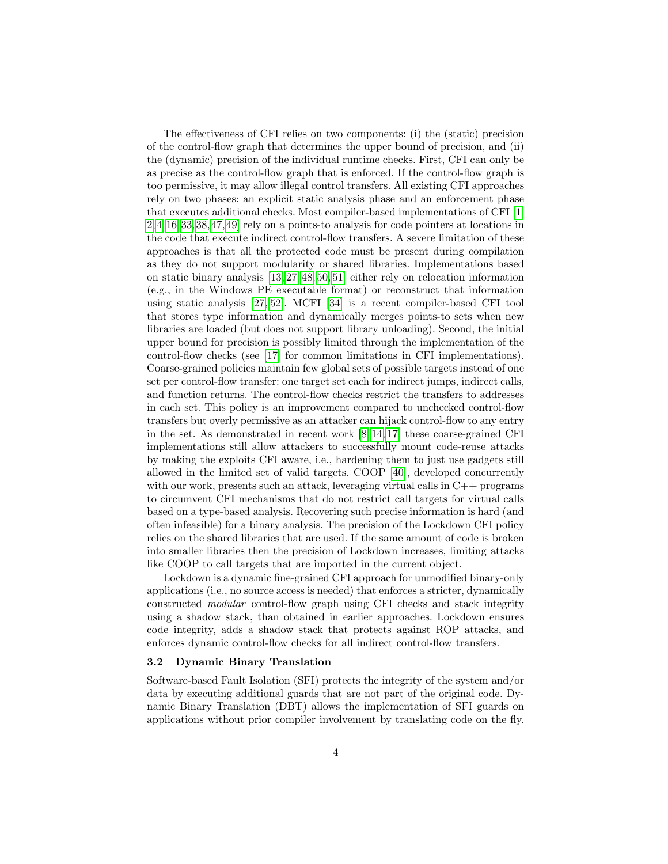The effectiveness of CFI relies on two components: (i) the (static) precision of the control-flow graph that determines the upper bound of precision, and (ii) the (dynamic) precision of the individual runtime checks. First, CFI can only be as precise as the control-flow graph that is enforced. If the control-flow graph is too permissive, it may allow illegal control transfers. All existing CFI approaches rely on two phases: an explicit static analysis phase and an enforcement phase that executes additional checks. Most compiler-based implementations of CFI [\[1,](#page-17-0) [2,](#page-17-6) [4,](#page-17-1) [16,](#page-18-2) [33,](#page-19-2) [38,](#page-19-4) [47,](#page-19-6) [49\]](#page-19-7) rely on a points-to analysis for code pointers at locations in the code that execute indirect control-flow transfers. A severe limitation of these approaches is that all the protected code must be present during compilation as they do not support modularity or shared libraries. Implementations based on static binary analysis [\[13,](#page-18-15) [27,](#page-18-3) [48,](#page-19-10) [50,](#page-19-9) [51\]](#page-19-11) either rely on relocation information (e.g., in the Windows PE executable format) or reconstruct that information using static analysis [\[27,](#page-18-3) [52\]](#page-19-8). MCFI [\[34\]](#page-19-3) is a recent compiler-based CFI tool that stores type information and dynamically merges points-to sets when new libraries are loaded (but does not support library unloading). Second, the initial upper bound for precision is possibly limited through the implementation of the control-flow checks (see [\[17\]](#page-18-5) for common limitations in CFI implementations). Coarse-grained policies maintain few global sets of possible targets instead of one set per control-flow transfer: one target set each for indirect jumps, indirect calls, and function returns. The control-flow checks restrict the transfers to addresses in each set. This policy is an improvement compared to unchecked control-flow transfers but overly permissive as an attacker can hijack control-flow to any entry in the set. As demonstrated in recent work  $[8, 14, 17]$  $[8, 14, 17]$  $[8, 14, 17]$  these coarse-grained CFI implementations still allow attackers to successfully mount code-reuse attacks by making the exploits CFI aware, i.e., hardening them to just use gadgets still allowed in the limited set of valid targets. COOP [\[40\]](#page-19-12), developed concurrently with our work, presents such an attack, leveraging virtual calls in  $C++$  programs to circumvent CFI mechanisms that do not restrict call targets for virtual calls based on a type-based analysis. Recovering such precise information is hard (and often infeasible) for a binary analysis. The precision of the Lockdown CFI policy relies on the shared libraries that are used. If the same amount of code is broken into smaller libraries then the precision of Lockdown increases, limiting attacks like COOP to call targets that are imported in the current object.

Lockdown is a dynamic fine-grained CFI approach for unmodified binary-only applications (i.e., no source access is needed) that enforces a stricter, dynamically constructed modular control-flow graph using CFI checks and stack integrity using a shadow stack, than obtained in earlier approaches. Lockdown ensures code integrity, adds a shadow stack that protects against ROP attacks, and enforces dynamic control-flow checks for all indirect control-flow transfers.

# 3.2 Dynamic Binary Translation

Software-based Fault Isolation (SFI) protects the integrity of the system and/or data by executing additional guards that are not part of the original code. Dynamic Binary Translation (DBT) allows the implementation of SFI guards on applications without prior compiler involvement by translating code on the fly.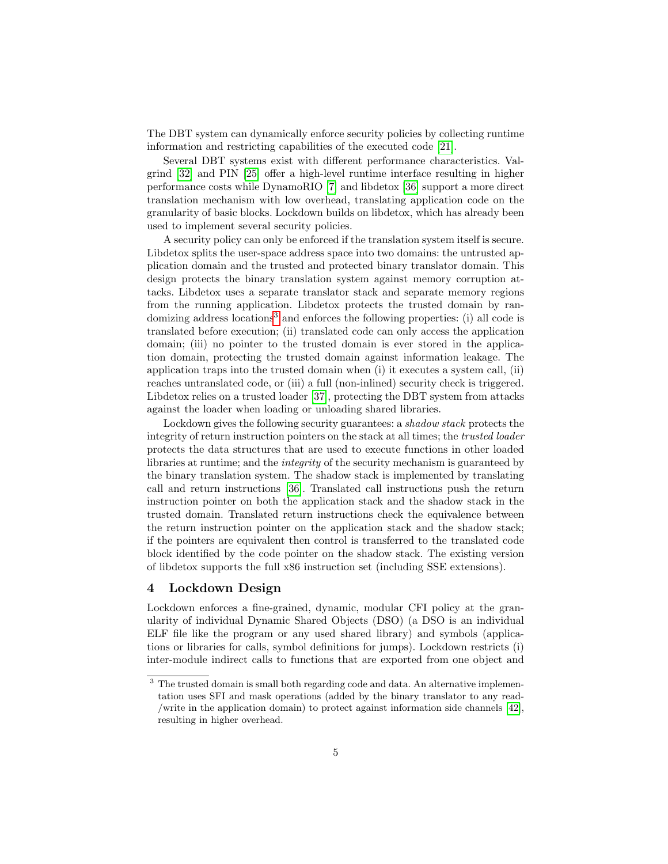The DBT system can dynamically enforce security policies by collecting runtime information and restricting capabilities of the executed code [\[21\]](#page-18-16).

Several DBT systems exist with different performance characteristics. Valgrind [\[32\]](#page-19-17) and PIN [\[25\]](#page-18-17) offer a high-level runtime interface resulting in higher performance costs while DynamoRIO [\[7\]](#page-17-7) and libdetox [\[36\]](#page-19-18) support a more direct translation mechanism with low overhead, translating application code on the granularity of basic blocks. Lockdown builds on libdetox, which has already been used to implement several security policies.

A security policy can only be enforced if the translation system itself is secure. Libdetox splits the user-space address space into two domains: the untrusted application domain and the trusted and protected binary translator domain. This design protects the binary translation system against memory corruption attacks. Libdetox uses a separate translator stack and separate memory regions from the running application. Libdetox protects the trusted domain by ran-domizing address locations<sup>[3](#page-4-0)</sup> and enforces the following properties: (i) all code is translated before execution; (ii) translated code can only access the application domain; (iii) no pointer to the trusted domain is ever stored in the application domain, protecting the trusted domain against information leakage. The application traps into the trusted domain when (i) it executes a system call, (ii) reaches untranslated code, or (iii) a full (non-inlined) security check is triggered. Libdetox relies on a trusted loader [\[37\]](#page-19-19), protecting the DBT system from attacks against the loader when loading or unloading shared libraries.

Lockdown gives the following security guarantees: a shadow stack protects the integrity of return instruction pointers on the stack at all times; the trusted loader protects the data structures that are used to execute functions in other loaded libraries at runtime; and the integrity of the security mechanism is guaranteed by the binary translation system. The shadow stack is implemented by translating call and return instructions [\[36\]](#page-19-18). Translated call instructions push the return instruction pointer on both the application stack and the shadow stack in the trusted domain. Translated return instructions check the equivalence between the return instruction pointer on the application stack and the shadow stack; if the pointers are equivalent then control is transferred to the translated code block identified by the code pointer on the shadow stack. The existing version of libdetox supports the full x86 instruction set (including SSE extensions).

# 4 Lockdown Design

Lockdown enforces a fine-grained, dynamic, modular CFI policy at the granularity of individual Dynamic Shared Objects (DSO) (a DSO is an individual ELF file like the program or any used shared library) and symbols (applications or libraries for calls, symbol definitions for jumps). Lockdown restricts (i) inter-module indirect calls to functions that are exported from one object and

<span id="page-4-0"></span><sup>&</sup>lt;sup>3</sup> The trusted domain is small both regarding code and data. An alternative implementation uses SFI and mask operations (added by the binary translator to any read- /write in the application domain) to protect against information side channels [\[42\]](#page-19-20), resulting in higher overhead.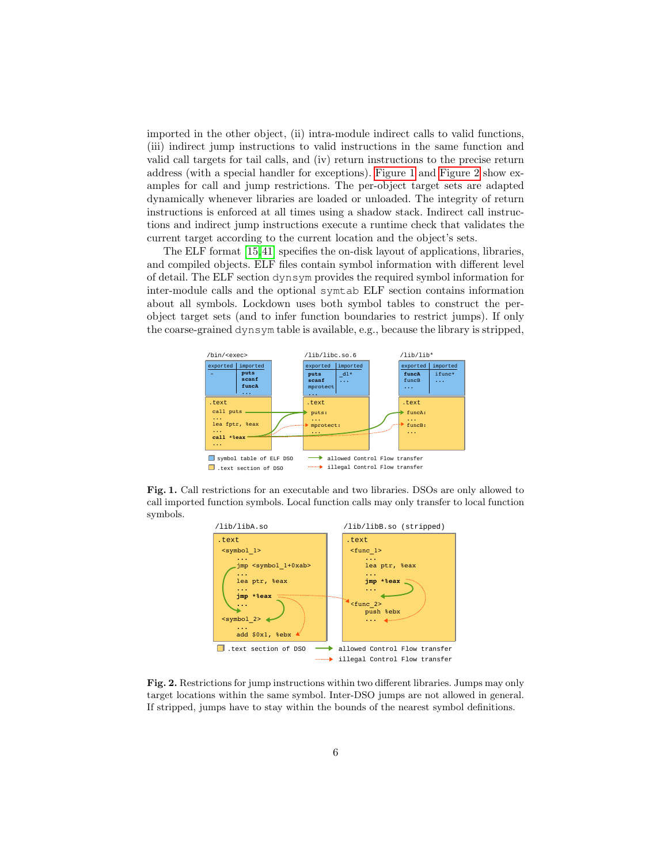imported in the other object, (ii) intra-module indirect calls to valid functions, (iii) indirect jump instructions to valid instructions in the same function and valid call targets for tail calls, and (iv) return instructions to the precise return address (with a special handler for exceptions). [Figure 1](#page-5-0) and [Figure 2](#page-5-1) show examples for call and jump restrictions. The per-object target sets are adapted dynamically whenever libraries are loaded or unloaded. The integrity of return instructions is enforced at all times using a shadow stack. Indirect call instructions and indirect jump instructions execute a runtime check that validates the current target according to the current location and the object's sets.

The ELF format [\[15,](#page-18-18)[41\]](#page-19-21) specifies the on-disk layout of applications, libraries, and compiled objects. ELF files contain symbol information with different level of detail. The ELF section dynsym provides the required symbol information for inter-module calls and the optional symtab ELF section contains information about all symbols. Lockdown uses both symbol tables to construct the perobject target sets (and to infer function boundaries to restrict jumps). If only the coarse-grained dynsym table is available, e.g., because the library is stripped,



<span id="page-5-0"></span>Fig. 1. Call restrictions for an executable and two libraries. DSOs are only allowed to call imported function symbols. Local function calls may only transfer to local function symbols.



<span id="page-5-1"></span>Fig. 2. Restrictions for jump instructions within two different libraries. Jumps may only target locations within the same symbol. Inter-DSO jumps are not allowed in general. If stripped, jumps have to stay within the bounds of the nearest symbol definitions.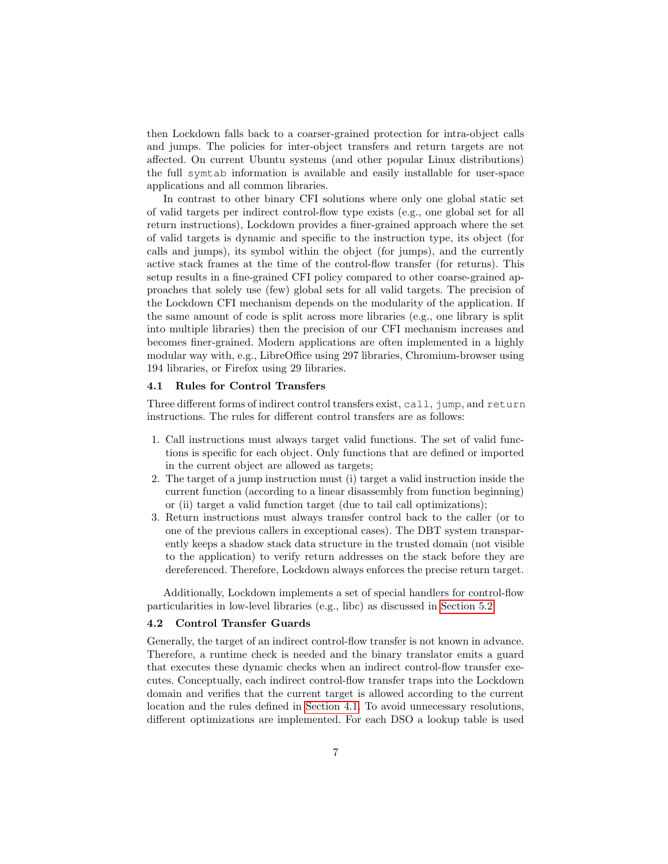then Lockdown falls back to a coarser-grained protection for intra-object calls and jumps. The policies for inter-object transfers and return targets are not affected. On current Ubuntu systems (and other popular Linux distributions) the full symtab information is available and easily installable for user-space applications and all common libraries.

In contrast to other binary CFI solutions where only one global static set of valid targets per indirect control-flow type exists (e.g., one global set for all return instructions), Lockdown provides a finer-grained approach where the set of valid targets is dynamic and specific to the instruction type, its object (for calls and jumps), its symbol within the object (for jumps), and the currently active stack frames at the time of the control-flow transfer (for returns). This setup results in a fine-grained CFI policy compared to other coarse-grained approaches that solely use (few) global sets for all valid targets. The precision of the Lockdown CFI mechanism depends on the modularity of the application. If the same amount of code is split across more libraries (e.g., one library is split into multiple libraries) then the precision of our CFI mechanism increases and becomes finer-grained. Modern applications are often implemented in a highly modular way with, e.g., LibreOffice using 297 libraries, Chromium-browser using 194 libraries, or Firefox using 29 libraries.

## <span id="page-6-0"></span>4.1 Rules for Control Transfers

Three different forms of indirect control transfers exist, call, jump, and return instructions. The rules for different control transfers are as follows:

- 1. Call instructions must always target valid functions. The set of valid functions is specific for each object. Only functions that are defined or imported in the current object are allowed as targets;
- 2. The target of a jump instruction must (i) target a valid instruction inside the current function (according to a linear disassembly from function beginning) or (ii) target a valid function target (due to tail call optimizations);
- 3. Return instructions must always transfer control back to the caller (or to one of the previous callers in exceptional cases). The DBT system transparently keeps a shadow stack data structure in the trusted domain (not visible to the application) to verify return addresses on the stack before they are dereferenced. Therefore, Lockdown always enforces the precise return target.

Additionally, Lockdown implements a set of special handlers for control-flow particularities in low-level libraries (e.g., libc) as discussed in [Section 5.2.](#page-8-0)

## 4.2 Control Transfer Guards

Generally, the target of an indirect control-flow transfer is not known in advance. Therefore, a runtime check is needed and the binary translator emits a guard that executes these dynamic checks when an indirect control-flow transfer executes. Conceptually, each indirect control-flow transfer traps into the Lockdown domain and verifies that the current target is allowed according to the current location and the rules defined in [Section 4.1.](#page-6-0) To avoid unnecessary resolutions, different optimizations are implemented. For each DSO a lookup table is used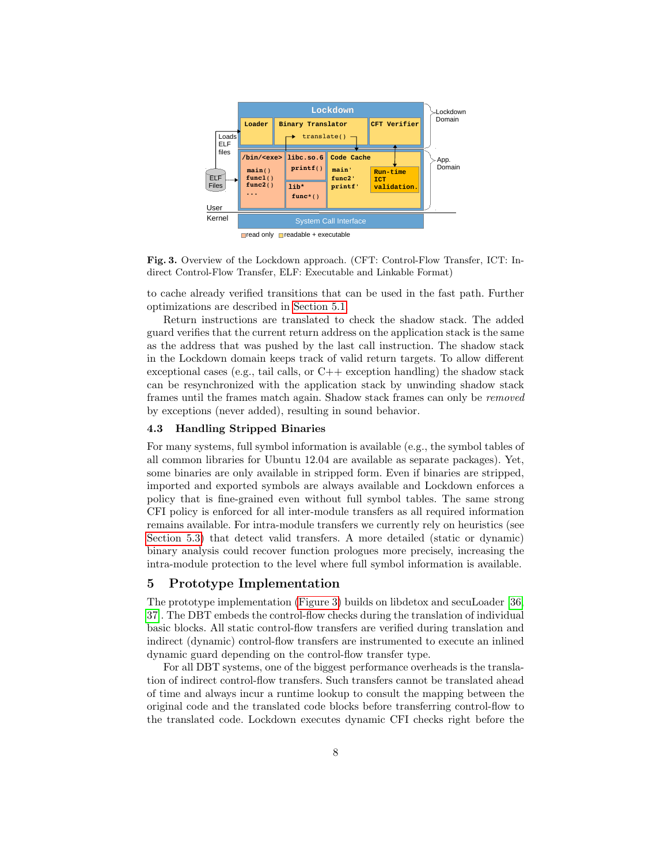

 $\Box$  read only  $\Box$  readable + executable

<span id="page-7-0"></span>Fig. 3. Overview of the Lockdown approach. (CFT: Control-Flow Transfer, ICT: Indirect Control-Flow Transfer, ELF: Executable and Linkable Format)

to cache already verified transitions that can be used in the fast path. Further optimizations are described in [Section 5.1.](#page-8-1)

Return instructions are translated to check the shadow stack. The added guard verifies that the current return address on the application stack is the same as the address that was pushed by the last call instruction. The shadow stack in the Lockdown domain keeps track of valid return targets. To allow different exceptional cases (e.g., tail calls, or C++ exception handling) the shadow stack can be resynchronized with the application stack by unwinding shadow stack frames until the frames match again. Shadow stack frames can only be removed by exceptions (never added), resulting in sound behavior.

# 4.3 Handling Stripped Binaries

For many systems, full symbol information is available (e.g., the symbol tables of all common libraries for Ubuntu 12.04 are available as separate packages). Yet, some binaries are only available in stripped form. Even if binaries are stripped, imported and exported symbols are always available and Lockdown enforces a policy that is fine-grained even without full symbol tables. The same strong CFI policy is enforced for all inter-module transfers as all required information remains available. For intra-module transfers we currently rely on heuristics (see [Section 5.3\)](#page-9-0) that detect valid transfers. A more detailed (static or dynamic) binary analysis could recover function prologues more precisely, increasing the intra-module protection to the level where full symbol information is available.

# 5 Prototype Implementation

The prototype implementation [\(Figure 3\)](#page-7-0) builds on libdetox and secuLoader [\[36,](#page-19-18) [37\]](#page-19-19). The DBT embeds the control-flow checks during the translation of individual basic blocks. All static control-flow transfers are verified during translation and indirect (dynamic) control-flow transfers are instrumented to execute an inlined dynamic guard depending on the control-flow transfer type.

For all DBT systems, one of the biggest performance overheads is the translation of indirect control-flow transfers. Such transfers cannot be translated ahead of time and always incur a runtime lookup to consult the mapping between the original code and the translated code blocks before transferring control-flow to the translated code. Lockdown executes dynamic CFI checks right before the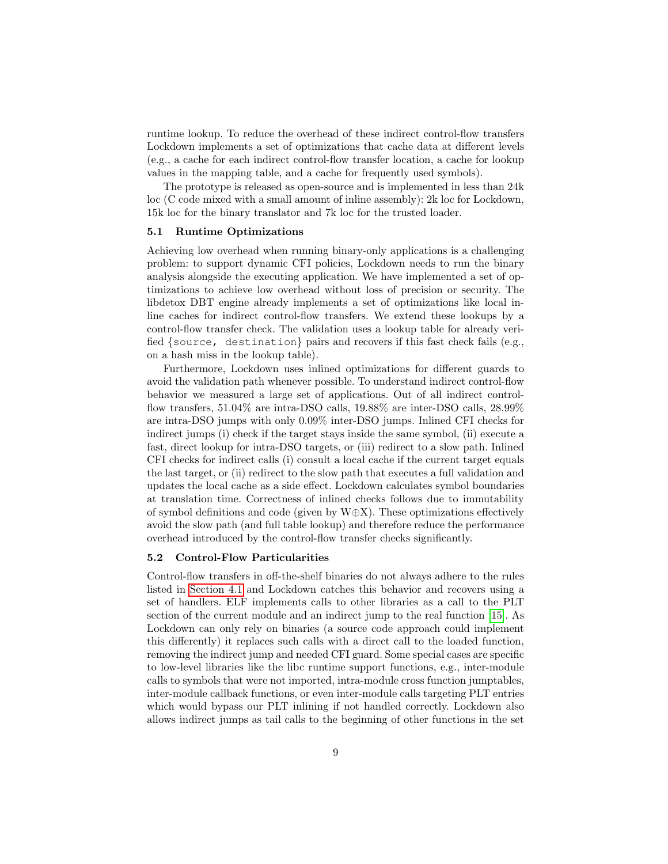runtime lookup. To reduce the overhead of these indirect control-flow transfers Lockdown implements a set of optimizations that cache data at different levels (e.g., a cache for each indirect control-flow transfer location, a cache for lookup values in the mapping table, and a cache for frequently used symbols).

The prototype is released as open-source and is implemented in less than 24k loc (C code mixed with a small amount of inline assembly): 2k loc for Lockdown, 15k loc for the binary translator and 7k loc for the trusted loader.

## <span id="page-8-1"></span>5.1 Runtime Optimizations

Achieving low overhead when running binary-only applications is a challenging problem: to support dynamic CFI policies, Lockdown needs to run the binary analysis alongside the executing application. We have implemented a set of optimizations to achieve low overhead without loss of precision or security. The libdetox DBT engine already implements a set of optimizations like local inline caches for indirect control-flow transfers. We extend these lookups by a control-flow transfer check. The validation uses a lookup table for already verified  $\{source,$  destination $\}$  pairs and recovers if this fast check fails (e.g., on a hash miss in the lookup table).

Furthermore, Lockdown uses inlined optimizations for different guards to avoid the validation path whenever possible. To understand indirect control-flow behavior we measured a large set of applications. Out of all indirect controlflow transfers, 51.04% are intra-DSO calls, 19.88% are inter-DSO calls, 28.99% are intra-DSO jumps with only 0.09% inter-DSO jumps. Inlined CFI checks for indirect jumps (i) check if the target stays inside the same symbol, (ii) execute a fast, direct lookup for intra-DSO targets, or (iii) redirect to a slow path. Inlined CFI checks for indirect calls (i) consult a local cache if the current target equals the last target, or (ii) redirect to the slow path that executes a full validation and updates the local cache as a side effect. Lockdown calculates symbol boundaries at translation time. Correctness of inlined checks follows due to immutability of symbol definitions and code (given by  $W \oplus X$ ). These optimizations effectively avoid the slow path (and full table lookup) and therefore reduce the performance overhead introduced by the control-flow transfer checks significantly.

#### <span id="page-8-0"></span>5.2 Control-Flow Particularities

Control-flow transfers in off-the-shelf binaries do not always adhere to the rules listed in [Section 4.1](#page-6-0) and Lockdown catches this behavior and recovers using a set of handlers. ELF implements calls to other libraries as a call to the PLT section of the current module and an indirect jump to the real function [\[15\]](#page-18-18). As Lockdown can only rely on binaries (a source code approach could implement this differently) it replaces such calls with a direct call to the loaded function, removing the indirect jump and needed CFI guard. Some special cases are specific to low-level libraries like the libc runtime support functions, e.g., inter-module calls to symbols that were not imported, intra-module cross function jumptables, inter-module callback functions, or even inter-module calls targeting PLT entries which would bypass our PLT inlining if not handled correctly. Lockdown also allows indirect jumps as tail calls to the beginning of other functions in the set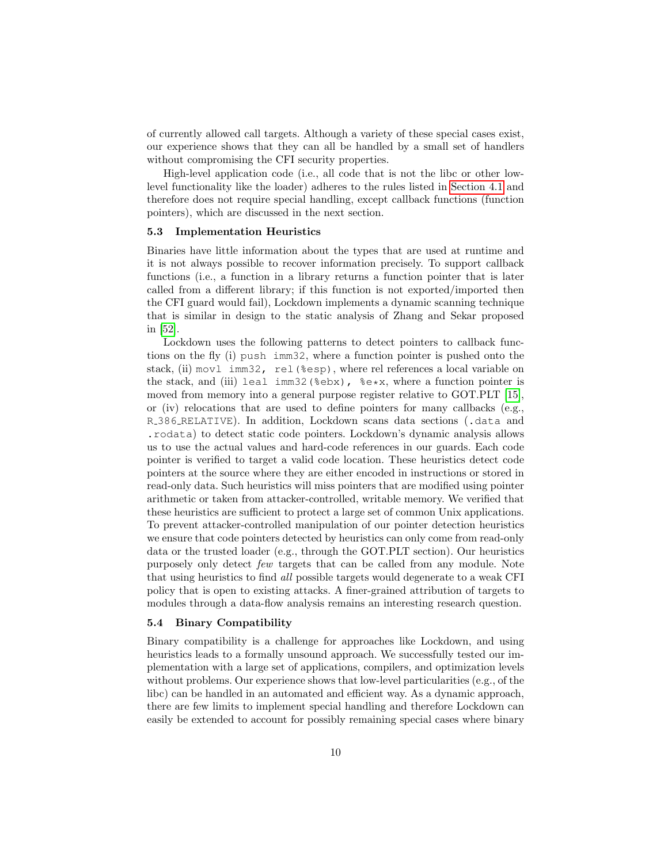of currently allowed call targets. Although a variety of these special cases exist, our experience shows that they can all be handled by a small set of handlers without compromising the CFI security properties.

High-level application code (i.e., all code that is not the libc or other lowlevel functionality like the loader) adheres to the rules listed in [Section 4.1](#page-6-0) and therefore does not require special handling, except callback functions (function pointers), which are discussed in the next section.

## <span id="page-9-0"></span>5.3 Implementation Heuristics

Binaries have little information about the types that are used at runtime and it is not always possible to recover information precisely. To support callback functions (i.e., a function in a library returns a function pointer that is later called from a different library; if this function is not exported/imported then the CFI guard would fail), Lockdown implements a dynamic scanning technique that is similar in design to the static analysis of Zhang and Sekar proposed in [\[52\]](#page-19-8).

Lockdown uses the following patterns to detect pointers to callback functions on the fly (i) push imm32, where a function pointer is pushed onto the stack, (ii) movl imm32, rel(%esp), where rel references a local variable on the stack, and (iii) leal imm32( $\epsilon$ ebx),  $\epsilon \rightarrow x$ , where a function pointer is moved from memory into a general purpose register relative to GOT.PLT [\[15\]](#page-18-18), or (iv) relocations that are used to define pointers for many callbacks (e.g., R 386 RELATIVE). In addition, Lockdown scans data sections (.data and .rodata) to detect static code pointers. Lockdown's dynamic analysis allows us to use the actual values and hard-code references in our guards. Each code pointer is verified to target a valid code location. These heuristics detect code pointers at the source where they are either encoded in instructions or stored in read-only data. Such heuristics will miss pointers that are modified using pointer arithmetic or taken from attacker-controlled, writable memory. We verified that these heuristics are sufficient to protect a large set of common Unix applications. To prevent attacker-controlled manipulation of our pointer detection heuristics we ensure that code pointers detected by heuristics can only come from read-only data or the trusted loader (e.g., through the GOT.PLT section). Our heuristics purposely only detect few targets that can be called from any module. Note that using heuristics to find all possible targets would degenerate to a weak CFI policy that is open to existing attacks. A finer-grained attribution of targets to modules through a data-flow analysis remains an interesting research question.

## 5.4 Binary Compatibility

Binary compatibility is a challenge for approaches like Lockdown, and using heuristics leads to a formally unsound approach. We successfully tested our implementation with a large set of applications, compilers, and optimization levels without problems. Our experience shows that low-level particularities (e.g., of the libc) can be handled in an automated and efficient way. As a dynamic approach, there are few limits to implement special handling and therefore Lockdown can easily be extended to account for possibly remaining special cases where binary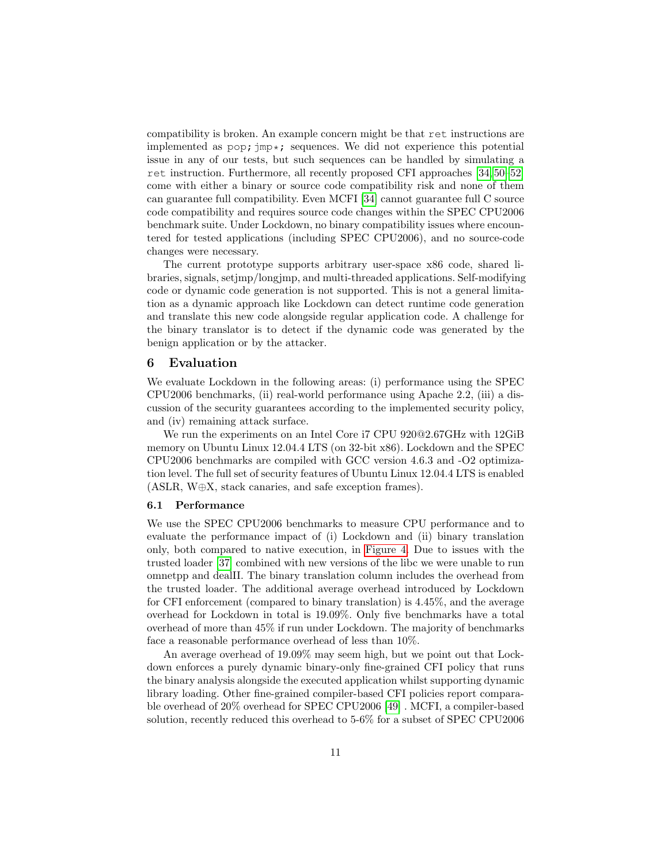compatibility is broken. An example concern might be that ret instructions are implemented as  $pop; jmp*;$  sequences. We did not experience this potential issue in any of our tests, but such sequences can be handled by simulating a ret instruction. Furthermore, all recently proposed CFI approaches [\[34,](#page-19-3) [50–](#page-19-9)[52\]](#page-19-8) come with either a binary or source code compatibility risk and none of them can guarantee full compatibility. Even MCFI [\[34\]](#page-19-3) cannot guarantee full C source code compatibility and requires source code changes within the SPEC CPU2006 benchmark suite. Under Lockdown, no binary compatibility issues where encountered for tested applications (including SPEC CPU2006), and no source-code changes were necessary.

The current prototype supports arbitrary user-space x86 code, shared libraries, signals, setjmp/longjmp, and multi-threaded applications. Self-modifying code or dynamic code generation is not supported. This is not a general limitation as a dynamic approach like Lockdown can detect runtime code generation and translate this new code alongside regular application code. A challenge for the binary translator is to detect if the dynamic code was generated by the benign application or by the attacker.

# 6 Evaluation

We evaluate Lockdown in the following areas: (i) performance using the SPEC CPU2006 benchmarks, (ii) real-world performance using Apache 2.2, (iii) a discussion of the security guarantees according to the implemented security policy, and (iv) remaining attack surface.

We run the experiments on an Intel Core i7 CPU 920@2.67GHz with 12GiB memory on Ubuntu Linux 12.04.4 LTS (on 32-bit x86). Lockdown and the SPEC CPU2006 benchmarks are compiled with GCC version 4.6.3 and -O2 optimization level. The full set of security features of Ubuntu Linux 12.04.4 LTS is enabled (ASLR, W⊕X, stack canaries, and safe exception frames).

#### 6.1 Performance

We use the SPEC CPU2006 benchmarks to measure CPU performance and to evaluate the performance impact of (i) Lockdown and (ii) binary translation only, both compared to native execution, in [Figure 4.](#page-11-0) Due to issues with the trusted loader [\[37\]](#page-19-19) combined with new versions of the libc we were unable to run omnetpp and dealII. The binary translation column includes the overhead from the trusted loader. The additional average overhead introduced by Lockdown for CFI enforcement (compared to binary translation) is 4.45%, and the average overhead for Lockdown in total is 19.09%. Only five benchmarks have a total overhead of more than 45% if run under Lockdown. The majority of benchmarks face a reasonable performance overhead of less than 10%.

An average overhead of 19.09% may seem high, but we point out that Lockdown enforces a purely dynamic binary-only fine-grained CFI policy that runs the binary analysis alongside the executed application whilst supporting dynamic library loading. Other fine-grained compiler-based CFI policies report comparable overhead of 20% overhead for SPEC CPU2006 [\[49\]](#page-19-7) . MCFI, a compiler-based solution, recently reduced this overhead to 5-6% for a subset of SPEC CPU2006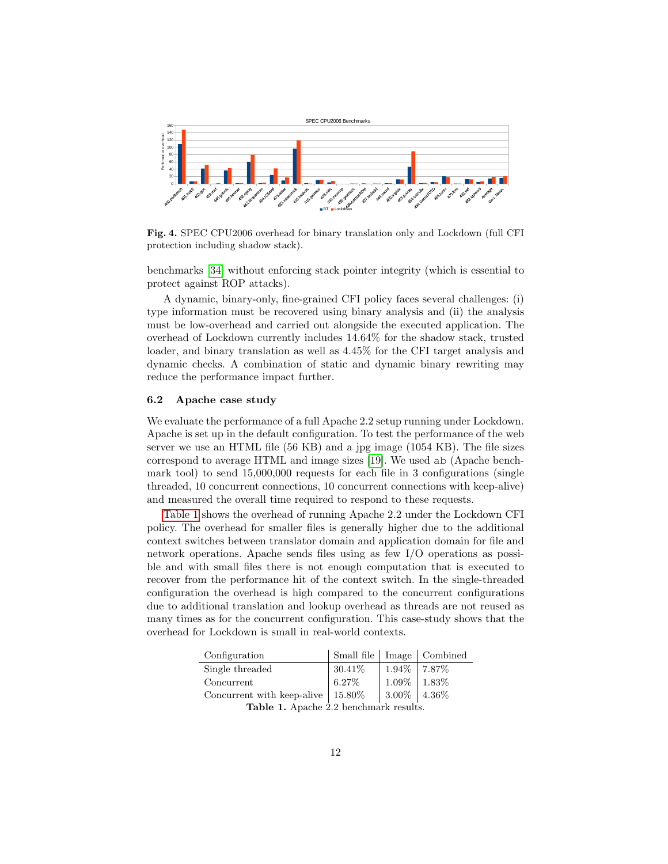

<span id="page-11-0"></span>Fig. 4. SPEC CPU2006 overhead for binary translation only and Lockdown (full CFI protection including shadow stack).

benchmarks [\[34\]](#page-19-3) without enforcing stack pointer integrity (which is essential to protect against ROP attacks).

A dynamic, binary-only, fine-grained CFI policy faces several challenges: (i) type information must be recovered using binary analysis and (ii) the analysis must be low-overhead and carried out alongside the executed application. The overhead of Lockdown currently includes 14.64% for the shadow stack, trusted loader, and binary translation as well as 4.45% for the CFI target analysis and dynamic checks. A combination of static and dynamic binary rewriting may reduce the performance impact further.

#### 6.2 Apache case study

We evaluate the performance of a full Apache 2.2 setup running under Lockdown. Apache is set up in the default configuration. To test the performance of the web server we use an HTML file (56 KB) and a jpg image (1054 KB). The file sizes correspond to average HTML and image sizes [\[19\]](#page-18-19). We used ab (Apache benchmark tool) to send 15,000,000 requests for each file in 3 configurations (single threaded, 10 concurrent connections, 10 concurrent connections with keep-alive) and measured the overall time required to respond to these requests.

[Table 1](#page-11-1) shows the overhead of running Apache 2.2 under the Lockdown CFI policy. The overhead for smaller files is generally higher due to the additional context switches between translator domain and application domain for file and network operations. Apache sends files using as few I/O operations as possible and with small files there is not enough computation that is executed to recover from the performance hit of the context switch. In the single-threaded configuration the overhead is high compared to the concurrent configurations due to additional translation and lookup overhead as threads are not reused as many times as for the concurrent configuration. This case-study shows that the overhead for Lockdown is small in real-world contexts.

| Configuration                             |           |                     | Small file   Image   Combined |  |  |  |  |
|-------------------------------------------|-----------|---------------------|-------------------------------|--|--|--|--|
| Single threaded                           | $30.41\%$ | $1.94\%$   $7.87\%$ |                               |  |  |  |  |
| Concurrent                                | $6.27\%$  | $1.09\%$   1.83%    |                               |  |  |  |  |
| Concurrent with keep-alive $\vert$ 15.80% |           | 3.00%   4.36%       |                               |  |  |  |  |
|                                           |           |                     |                               |  |  |  |  |

<span id="page-11-1"></span>

| <b>Table 1.</b> Apache 2.2 benchmark results. |  |  |
|-----------------------------------------------|--|--|
|-----------------------------------------------|--|--|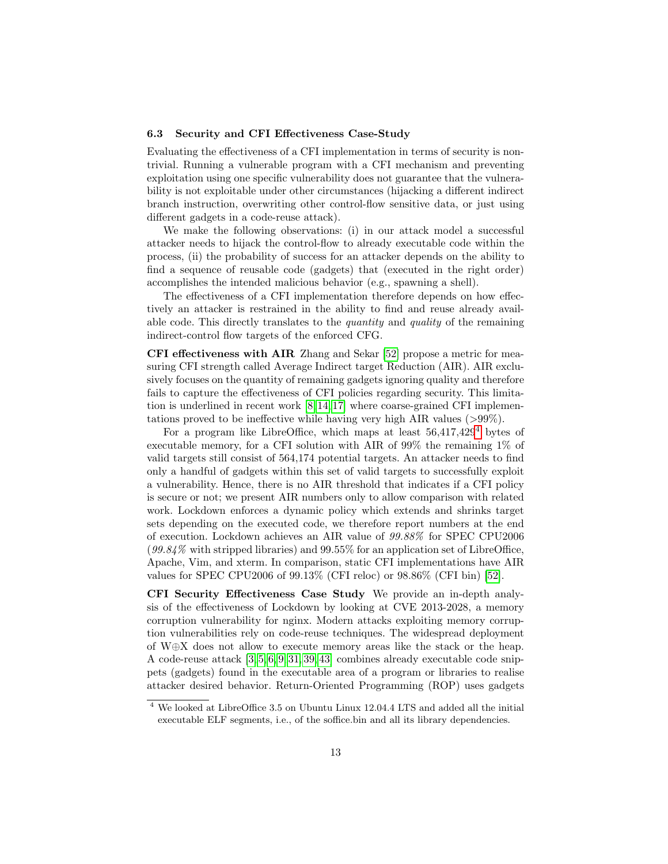## 6.3 Security and CFI Effectiveness Case-Study

Evaluating the effectiveness of a CFI implementation in terms of security is nontrivial. Running a vulnerable program with a CFI mechanism and preventing exploitation using one specific vulnerability does not guarantee that the vulnerability is not exploitable under other circumstances (hijacking a different indirect branch instruction, overwriting other control-flow sensitive data, or just using different gadgets in a code-reuse attack).

We make the following observations: (i) in our attack model a successful attacker needs to hijack the control-flow to already executable code within the process, (ii) the probability of success for an attacker depends on the ability to find a sequence of reusable code (gadgets) that (executed in the right order) accomplishes the intended malicious behavior (e.g., spawning a shell).

The effectiveness of a CFI implementation therefore depends on how effectively an attacker is restrained in the ability to find and reuse already available code. This directly translates to the quantity and quality of the remaining indirect-control flow targets of the enforced CFG.

CFI effectiveness with AIR Zhang and Sekar [\[52\]](#page-19-8) propose a metric for measuring CFI strength called Average Indirect target Reduction (AIR). AIR exclusively focuses on the quantity of remaining gadgets ignoring quality and therefore fails to capture the effectiveness of CFI policies regarding security. This limitation is underlined in recent work [\[8,](#page-17-2) [14,](#page-18-4) [17\]](#page-18-5) where coarse-grained CFI implementations proved to be ineffective while having very high AIR values  $(>\!\!99\%)$ .

For a program like LibreOffice, which maps at least  $56,417,429<sup>4</sup>$  $56,417,429<sup>4</sup>$  $56,417,429<sup>4</sup>$  bytes of executable memory, for a CFI solution with AIR of 99% the remaining 1% of valid targets still consist of 564,174 potential targets. An attacker needs to find only a handful of gadgets within this set of valid targets to successfully exploit a vulnerability. Hence, there is no AIR threshold that indicates if a CFI policy is secure or not; we present AIR numbers only to allow comparison with related work. Lockdown enforces a dynamic policy which extends and shrinks target sets depending on the executed code, we therefore report numbers at the end of execution. Lockdown achieves an AIR value of 99.88% for SPEC CPU2006  $(99.84\%$  with stripped libraries) and  $99.55\%$  for an application set of LibreOffice, Apache, Vim, and xterm. In comparison, static CFI implementations have AIR values for SPEC CPU2006 of 99.13% (CFI reloc) or 98.86% (CFI bin) [\[52\]](#page-19-8).

CFI Security Effectiveness Case Study We provide an in-depth analysis of the effectiveness of Lockdown by looking at CVE 2013-2028, a memory corruption vulnerability for nginx. Modern attacks exploiting memory corruption vulnerabilities rely on code-reuse techniques. The widespread deployment of W⊕X does not allow to execute memory areas like the stack or the heap. A code-reuse attack [\[3,](#page-17-3) [5,](#page-17-4) [6,](#page-17-5) [9,](#page-18-6) [31,](#page-19-13) [39,](#page-19-14) [43\]](#page-19-15) combines already executable code snippets (gadgets) found in the executable area of a program or libraries to realise attacker desired behavior. Return-Oriented Programming (ROP) uses gadgets

<span id="page-12-0"></span> $^4$  We looked at LibreOffice 3.5 on Ubuntu Linux 12.04.4 LTS and added all the initial executable ELF segments, i.e., of the soffice.bin and all its library dependencies.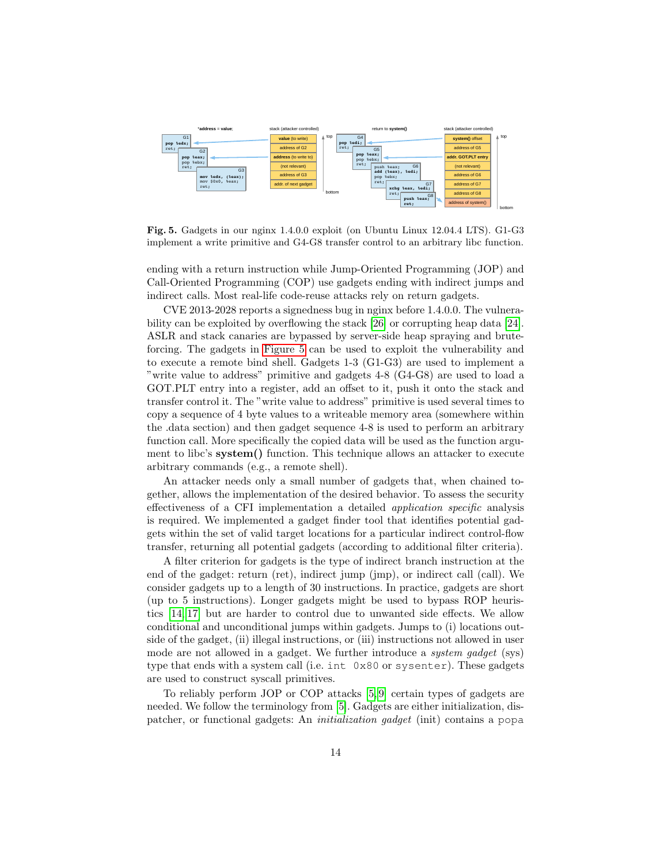

<span id="page-13-0"></span>Fig. 5. Gadgets in our nginx 1.4.0.0 exploit (on Ubuntu Linux 12.04.4 LTS). G1-G3 implement a write primitive and G4-G8 transfer control to an arbitrary libc function.

ending with a return instruction while Jump-Oriented Programming (JOP) and Call-Oriented Programming (COP) use gadgets ending with indirect jumps and indirect calls. Most real-life code-reuse attacks rely on return gadgets.

CVE 2013-2028 reports a signedness bug in nginx before 1.4.0.0. The vulnerability can be exploited by overflowing the stack [\[26\]](#page-18-20) or corrupting heap data [\[24\]](#page-18-21). ASLR and stack canaries are bypassed by server-side heap spraying and bruteforcing. The gadgets in [Figure 5](#page-13-0) can be used to exploit the vulnerability and to execute a remote bind shell. Gadgets 1-3 (G1-G3) are used to implement a "write value to address" primitive and gadgets 4-8 (G4-G8) are used to load a GOT.PLT entry into a register, add an offset to it, push it onto the stack and transfer control it. The "write value to address" primitive is used several times to copy a sequence of 4 byte values to a writeable memory area (somewhere within the .data section) and then gadget sequence 4-8 is used to perform an arbitrary function call. More specifically the copied data will be used as the function argument to libc's system() function. This technique allows an attacker to execute arbitrary commands (e.g., a remote shell).

An attacker needs only a small number of gadgets that, when chained together, allows the implementation of the desired behavior. To assess the security effectiveness of a CFI implementation a detailed application specific analysis is required. We implemented a gadget finder tool that identifies potential gadgets within the set of valid target locations for a particular indirect control-flow transfer, returning all potential gadgets (according to additional filter criteria).

A filter criterion for gadgets is the type of indirect branch instruction at the end of the gadget: return (ret), indirect jump (jmp), or indirect call (call). We consider gadgets up to a length of 30 instructions. In practice, gadgets are short (up to 5 instructions). Longer gadgets might be used to bypass ROP heuristics [\[14,](#page-18-4) [17\]](#page-18-5) but are harder to control due to unwanted side effects. We allow conditional and unconditional jumps within gadgets. Jumps to (i) locations outside of the gadget, (ii) illegal instructions, or (iii) instructions not allowed in user mode are not allowed in a gadget. We further introduce a *system gadget* (sys) type that ends with a system call (i.e. int 0x80 or sysenter). These gadgets are used to construct syscall primitives.

To reliably perform JOP or COP attacks [\[5,](#page-17-4) [9\]](#page-18-6) certain types of gadgets are needed. We follow the terminology from [\[5\]](#page-17-4). Gadgets are either initialization, dispatcher, or functional gadgets: An initialization gadget (init) contains a popa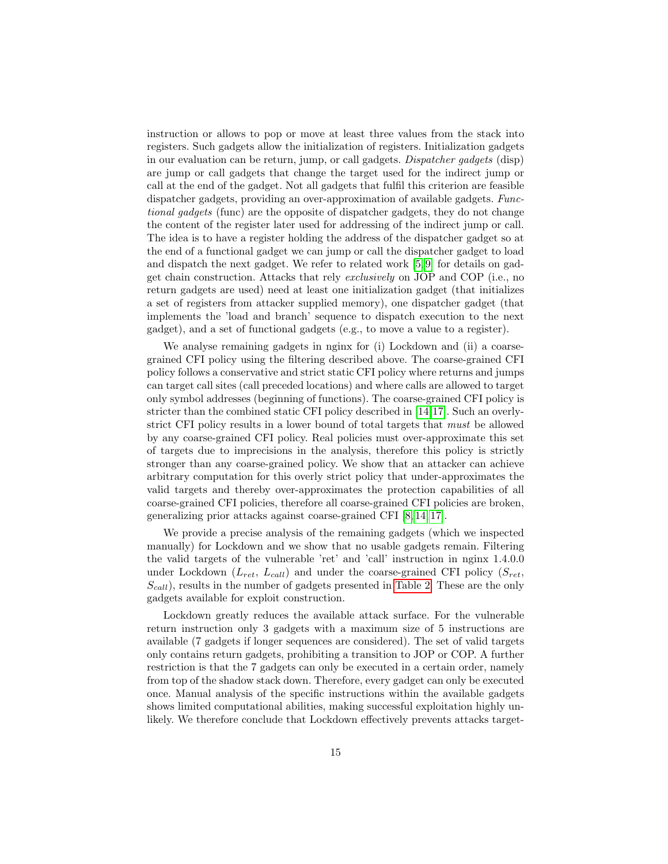instruction or allows to pop or move at least three values from the stack into registers. Such gadgets allow the initialization of registers. Initialization gadgets in our evaluation can be return, jump, or call gadgets. Dispatcher gadgets (disp) are jump or call gadgets that change the target used for the indirect jump or call at the end of the gadget. Not all gadgets that fulfil this criterion are feasible dispatcher gadgets, providing an over-approximation of available gadgets. Functional gadgets (func) are the opposite of dispatcher gadgets, they do not change the content of the register later used for addressing of the indirect jump or call. The idea is to have a register holding the address of the dispatcher gadget so at the end of a functional gadget we can jump or call the dispatcher gadget to load and dispatch the next gadget. We refer to related work [\[5,](#page-17-4) [9\]](#page-18-6) for details on gadget chain construction. Attacks that rely exclusively on JOP and COP (i.e., no return gadgets are used) need at least one initialization gadget (that initializes a set of registers from attacker supplied memory), one dispatcher gadget (that implements the 'load and branch' sequence to dispatch execution to the next gadget), and a set of functional gadgets (e.g., to move a value to a register).

We analyse remaining gadgets in nginx for (i) Lockdown and (ii) a coarsegrained CFI policy using the filtering described above. The coarse-grained CFI policy follows a conservative and strict static CFI policy where returns and jumps can target call sites (call preceded locations) and where calls are allowed to target only symbol addresses (beginning of functions). The coarse-grained CFI policy is stricter than the combined static CFI policy described in [\[14,](#page-18-4)[17\]](#page-18-5). Such an overlystrict CFI policy results in a lower bound of total targets that must be allowed by any coarse-grained CFI policy. Real policies must over-approximate this set of targets due to imprecisions in the analysis, therefore this policy is strictly stronger than any coarse-grained policy. We show that an attacker can achieve arbitrary computation for this overly strict policy that under-approximates the valid targets and thereby over-approximates the protection capabilities of all coarse-grained CFI policies, therefore all coarse-grained CFI policies are broken, generalizing prior attacks against coarse-grained CFI [\[8,](#page-17-2) [14,](#page-18-4) [17\]](#page-18-5).

We provide a precise analysis of the remaining gadgets (which we inspected manually) for Lockdown and we show that no usable gadgets remain. Filtering the valid targets of the vulnerable 'ret' and 'call' instruction in nginx 1.4.0.0 under Lockdown  $(L_{ret}, L_{call})$  and under the coarse-grained CFI policy  $(S_{ret},$  $S_{call}$ , results in the number of gadgets presented in [Table 2.](#page-15-0) These are the only gadgets available for exploit construction.

Lockdown greatly reduces the available attack surface. For the vulnerable return instruction only 3 gadgets with a maximum size of 5 instructions are available (7 gadgets if longer sequences are considered). The set of valid targets only contains return gadgets, prohibiting a transition to JOP or COP. A further restriction is that the 7 gadgets can only be executed in a certain order, namely from top of the shadow stack down. Therefore, every gadget can only be executed once. Manual analysis of the specific instructions within the available gadgets shows limited computational abilities, making successful exploitation highly unlikely. We therefore conclude that Lockdown effectively prevents attacks target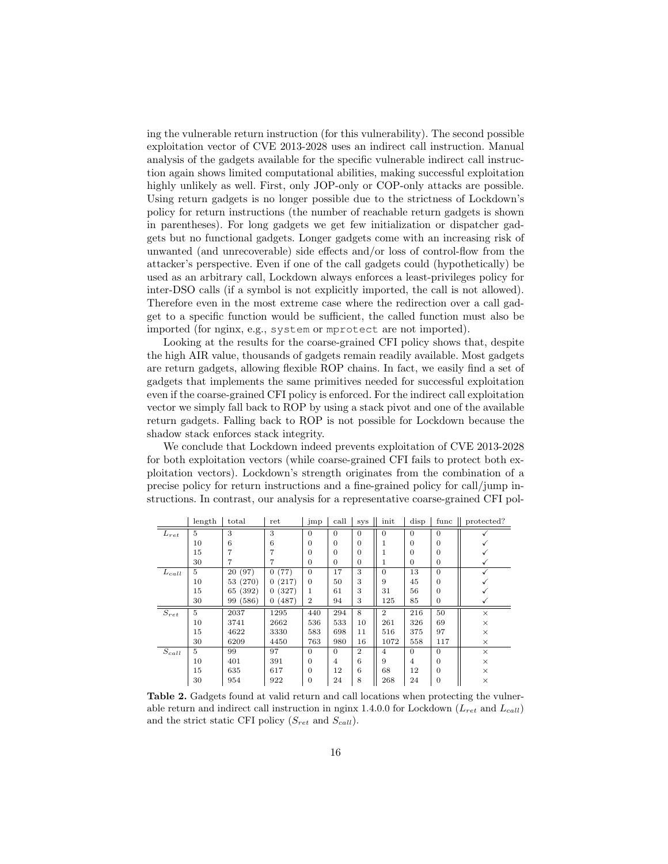ing the vulnerable return instruction (for this vulnerability). The second possible exploitation vector of CVE 2013-2028 uses an indirect call instruction. Manual analysis of the gadgets available for the specific vulnerable indirect call instruction again shows limited computational abilities, making successful exploitation highly unlikely as well. First, only JOP-only or COP-only attacks are possible. Using return gadgets is no longer possible due to the strictness of Lockdown's policy for return instructions (the number of reachable return gadgets is shown in parentheses). For long gadgets we get few initialization or dispatcher gadgets but no functional gadgets. Longer gadgets come with an increasing risk of unwanted (and unrecoverable) side effects and/or loss of control-flow from the attacker's perspective. Even if one of the call gadgets could (hypothetically) be used as an arbitrary call, Lockdown always enforces a least-privileges policy for inter-DSO calls (if a symbol is not explicitly imported, the call is not allowed). Therefore even in the most extreme case where the redirection over a call gadget to a specific function would be sufficient, the called function must also be imported (for nginx, e.g., system or mprotect are not imported).

Looking at the results for the coarse-grained CFI policy shows that, despite the high AIR value, thousands of gadgets remain readily available. Most gadgets are return gadgets, allowing flexible ROP chains. In fact, we easily find a set of gadgets that implements the same primitives needed for successful exploitation even if the coarse-grained CFI policy is enforced. For the indirect call exploitation vector we simply fall back to ROP by using a stack pivot and one of the available return gadgets. Falling back to ROP is not possible for Lockdown because the shadow stack enforces stack integrity.

We conclude that Lockdown indeed prevents exploitation of CVE 2013-2028 for both exploitation vectors (while coarse-grained CFI fails to protect both exploitation vectors). Lockdown's strength originates from the combination of a precise policy for return instructions and a fine-grained policy for call/jump instructions. In contrast, our analysis for a representative coarse-grained CFI pol-

|                       | length | total      | ret                     | jmp            | call           | sys            | init           | disp           | func           | protected? |
|-----------------------|--------|------------|-------------------------|----------------|----------------|----------------|----------------|----------------|----------------|------------|
| $\overline{L}_{ret}$  | 5      | 3          | 3                       | $\theta$       | $\Omega$       | $\overline{0}$ | $\Omega$       | $\Omega$       | $\theta$       |            |
|                       | 10     | 6          | 6                       | $\overline{0}$ | $\Omega$       | $\overline{0}$ |                | $\theta$       | $\Omega$       |            |
|                       | 15     | 7          | 7                       | $\overline{0}$ | $\Omega$       | $\overline{0}$ |                | $\theta$       | $\Omega$       |            |
|                       | 30     | 7          | 7                       | $\overline{0}$ | $\overline{0}$ | $\overline{0}$ |                | $\theta$       | $\theta$       |            |
| $L_{call}$            | 5      | (97)<br>20 | (77)<br>$\overline{0}$  | $\theta$       | 17             | 3              | $\Omega$       | 13             | $\theta$       |            |
|                       | 10     | 53 (270)   | (217)<br>$\overline{0}$ | $\overline{0}$ | 50             | 3              | 9              | 45             | $\theta$       |            |
|                       | 15     | 65 (392)   | (327)<br>$\overline{0}$ | 1              | 61             | 3              | 31             | 56             | $\Omega$       |            |
|                       | 30     | 99 (586)   | (487)<br>$\overline{0}$ | $\overline{2}$ | 94             | 3              | 125            | 85             | $\theta$       |            |
| $S_{ret}$             | 5      | 2037       | 1295                    | 440            | 294            | 8              | $\overline{2}$ | 216            | 50             | $\times$   |
|                       | 10     | 3741       | 2662                    | 536            | 533            | 10             | 261            | 326            | 69             | $\times$   |
|                       | 15     | 4622       | 3330                    | 583            | 698            | 11             | 516            | 375            | 97             | $\times$   |
|                       | 30     | 6209       | 4450                    | 763            | 980            | 16             | 1072           | 558            | 117            | $\times$   |
| $\overline{S}_{call}$ | 5      | 99         | 97                      | $\theta$       | $\Omega$       | $\overline{2}$ | 4              | $\Omega$       | $\Omega$       | $\times$   |
|                       | 10     | 401        | 391                     | $\overline{0}$ | $\overline{4}$ | 6              | 9              | $\overline{4}$ | $\Omega$       | $\times$   |
|                       | 15     | 635        | 617                     | $\overline{0}$ | 12             | 6              | 68             | 12             | $\overline{0}$ | $\times$   |
|                       | 30     | 954        | 922                     | $\overline{0}$ | 24             | 8              | 268            | 24             | $\theta$       | $\times$   |

length total ret jmp call sys init disp func protected?

<span id="page-15-0"></span>Table 2. Gadgets found at valid return and call locations when protecting the vulnerable return and indirect call instruction in nginx 1.4.0.0 for Lockdown ( $L_{ret}$  and  $L_{call}$ ) and the strict static CFI policy  $(S_{ret}$  and  $S_{call})$ .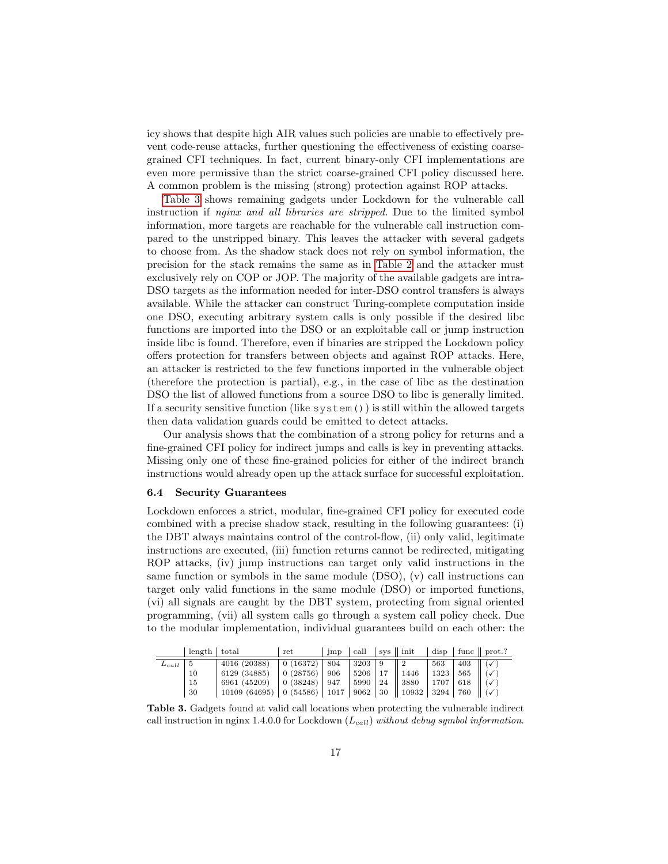icy shows that despite high AIR values such policies are unable to effectively prevent code-reuse attacks, further questioning the effectiveness of existing coarsegrained CFI techniques. In fact, current binary-only CFI implementations are even more permissive than the strict coarse-grained CFI policy discussed here. A common problem is the missing (strong) protection against ROP attacks.

[Table 3](#page-16-0) shows remaining gadgets under Lockdown for the vulnerable call instruction if nginx and all libraries are stripped. Due to the limited symbol information, more targets are reachable for the vulnerable call instruction compared to the unstripped binary. This leaves the attacker with several gadgets to choose from. As the shadow stack does not rely on symbol information, the precision for the stack remains the same as in [Table 2](#page-15-0) and the attacker must exclusively rely on COP or JOP. The majority of the available gadgets are intra-DSO targets as the information needed for inter-DSO control transfers is always available. While the attacker can construct Turing-complete computation inside one DSO, executing arbitrary system calls is only possible if the desired libc functions are imported into the DSO or an exploitable call or jump instruction inside libc is found. Therefore, even if binaries are stripped the Lockdown policy offers protection for transfers between objects and against ROP attacks. Here, an attacker is restricted to the few functions imported in the vulnerable object (therefore the protection is partial), e.g., in the case of libc as the destination DSO the list of allowed functions from a source DSO to libc is generally limited. If a security sensitive function (like system()) is still within the allowed targets then data validation guards could be emitted to detect attacks.

Our analysis shows that the combination of a strong policy for returns and a fine-grained CFI policy for indirect jumps and calls is key in preventing attacks. Missing only one of these fine-grained policies for either of the indirect branch instructions would already open up the attack surface for successful exploitation.

## 6.4 Security Guarantees

Lockdown enforces a strict, modular, fine-grained CFI policy for executed code combined with a precise shadow stack, resulting in the following guarantees: (i) the DBT always maintains control of the control-flow, (ii) only valid, legitimate instructions are executed, (iii) function returns cannot be redirected, mitigating ROP attacks, (iv) jump instructions can target only valid instructions in the same function or symbols in the same module  $(DSO)$ ,  $(v)$  call instructions can target only valid functions in the same module (DSO) or imported functions, (vi) all signals are caught by the DBT system, protecting from signal oriented programming, (vii) all system calls go through a system call policy check. Due to the modular implementation, individual guarantees build on each other: the

|            | length   total |                                                                                            | ret | $ $ jmp $ $ call $ $ sys $ $ init |                                        |                                       |     | $\vert$ disp $\vert$ func $\vert$ prot.? |
|------------|----------------|--------------------------------------------------------------------------------------------|-----|-----------------------------------|----------------------------------------|---------------------------------------|-----|------------------------------------------|
| $L_{call}$ |                | $4016 (20388) \mid 0 (16372) \mid 804 \mid 3203 \mid 9$                                    |     |                                   |                                        | 563                                   | 403 |                                          |
|            | 10             | 6129 (34885) $\begin{array}{ c c c c c c c c } \hline 6 & 0 & 0 & 0 \\ \hline \end{array}$ |     |                                   | $\vert 5206 \vert 17 \vert 1446 \vert$ | $\mid$ 1323   565    ( $\checkmark$ ) |     |                                          |
|            | 15             |                                                                                            |     | $\vert 5990 \vert 24 \vert 3880$  |                                        | $1707$ 618 $\parallel (\checkmark)$   |     |                                          |
|            | -30            | 10109 (64695)   0 (54586)   1017   9062   30    10932   3294   760    $(\checkmark)$       |     |                                   |                                        |                                       |     |                                          |

<span id="page-16-0"></span>Table 3. Gadgets found at valid call locations when protecting the vulnerable indirect call instruction in nginx 1.4.0.0 for Lockdown ( $L_{call}$ ) without debug symbol information.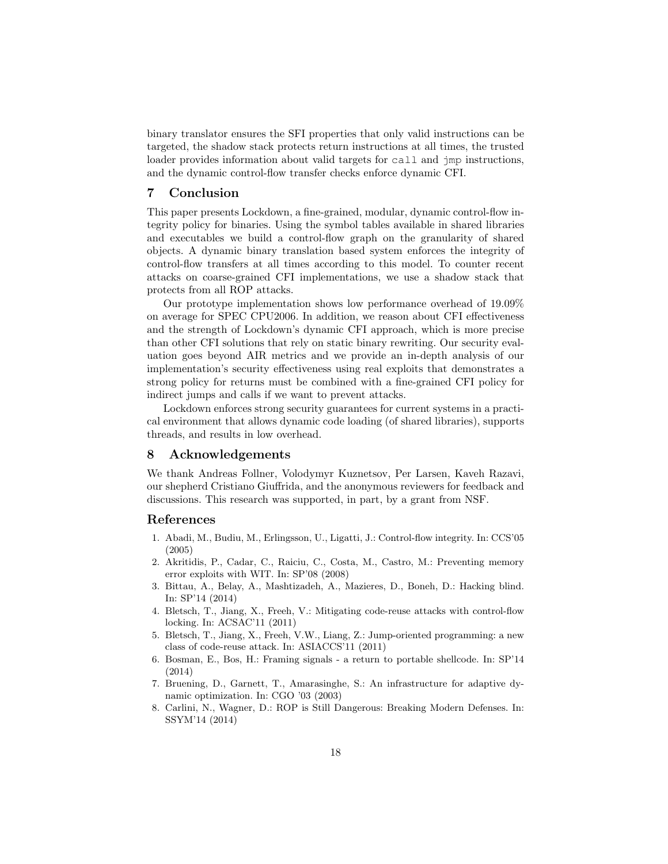binary translator ensures the SFI properties that only valid instructions can be targeted, the shadow stack protects return instructions at all times, the trusted loader provides information about valid targets for call and jmp instructions, and the dynamic control-flow transfer checks enforce dynamic CFI.

# 7 Conclusion

This paper presents Lockdown, a fine-grained, modular, dynamic control-flow integrity policy for binaries. Using the symbol tables available in shared libraries and executables we build a control-flow graph on the granularity of shared objects. A dynamic binary translation based system enforces the integrity of control-flow transfers at all times according to this model. To counter recent attacks on coarse-grained CFI implementations, we use a shadow stack that protects from all ROP attacks.

Our prototype implementation shows low performance overhead of 19.09% on average for SPEC CPU2006. In addition, we reason about CFI effectiveness and the strength of Lockdown's dynamic CFI approach, which is more precise than other CFI solutions that rely on static binary rewriting. Our security evaluation goes beyond AIR metrics and we provide an in-depth analysis of our implementation's security effectiveness using real exploits that demonstrates a strong policy for returns must be combined with a fine-grained CFI policy for indirect jumps and calls if we want to prevent attacks.

Lockdown enforces strong security guarantees for current systems in a practical environment that allows dynamic code loading (of shared libraries), supports threads, and results in low overhead.

# 8 Acknowledgements

We thank Andreas Follner, Volodymyr Kuznetsov, Per Larsen, Kaveh Razavi, our shepherd Cristiano Giuffrida, and the anonymous reviewers for feedback and discussions. This research was supported, in part, by a grant from NSF.

## References

- <span id="page-17-0"></span>1. Abadi, M., Budiu, M., Erlingsson, U., Ligatti, J.: Control-flow integrity. In: CCS'05 (2005)
- <span id="page-17-6"></span>2. Akritidis, P., Cadar, C., Raiciu, C., Costa, M., Castro, M.: Preventing memory error exploits with WIT. In: SP'08 (2008)
- <span id="page-17-3"></span>3. Bittau, A., Belay, A., Mashtizadeh, A., Mazieres, D., Boneh, D.: Hacking blind. In: SP'14 (2014)
- <span id="page-17-1"></span>4. Bletsch, T., Jiang, X., Freeh, V.: Mitigating code-reuse attacks with control-flow locking. In: ACSAC'11 (2011)
- <span id="page-17-4"></span>5. Bletsch, T., Jiang, X., Freeh, V.W., Liang, Z.: Jump-oriented programming: a new class of code-reuse attack. In: ASIACCS'11 (2011)
- <span id="page-17-5"></span>6. Bosman, E., Bos, H.: Framing signals - a return to portable shellcode. In: SP'14 (2014)
- <span id="page-17-7"></span>7. Bruening, D., Garnett, T., Amarasinghe, S.: An infrastructure for adaptive dynamic optimization. In: CGO '03 (2003)
- <span id="page-17-2"></span>8. Carlini, N., Wagner, D.: ROP is Still Dangerous: Breaking Modern Defenses. In: SSYM'14 (2014)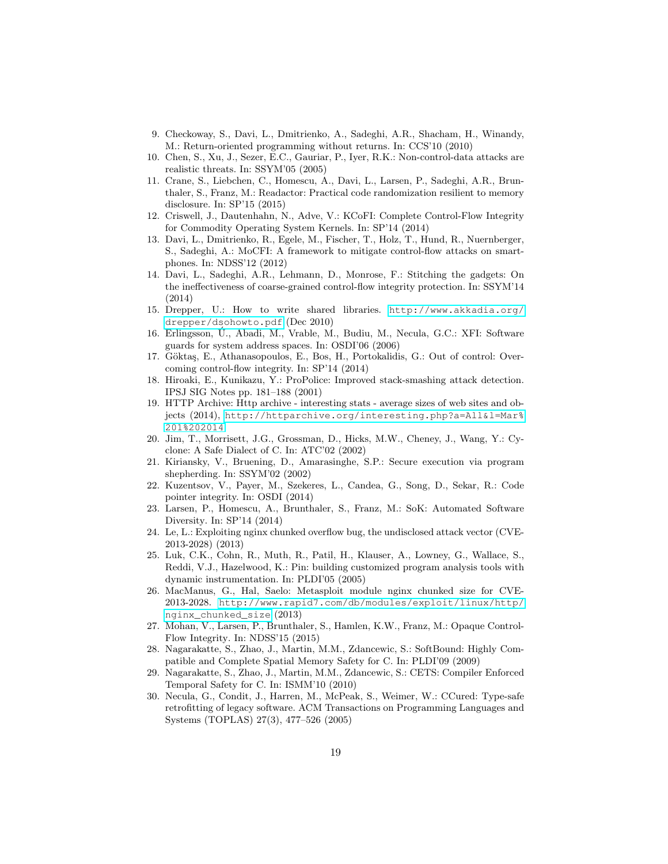- <span id="page-18-6"></span>9. Checkoway, S., Davi, L., Dmitrienko, A., Sadeghi, A.R., Shacham, H., Winandy, M.: Return-oriented programming without returns. In: CCS'10 (2010)
- <span id="page-18-7"></span>10. Chen, S., Xu, J., Sezer, E.C., Gauriar, P., Iyer, R.K.: Non-control-data attacks are realistic threats. In: SSYM'05 (2005)
- <span id="page-18-13"></span>11. Crane, S., Liebchen, C., Homescu, A., Davi, L., Larsen, P., Sadeghi, A.R., Brunthaler, S., Franz, M.: Readactor: Practical code randomization resilient to memory disclosure. In: SP'15 (2015)
- <span id="page-18-1"></span>12. Criswell, J., Dautenhahn, N., Adve, V.: KCoFI: Complete Control-Flow Integrity for Commodity Operating System Kernels. In: SP'14 (2014)
- <span id="page-18-15"></span>13. Davi, L., Dmitrienko, R., Egele, M., Fischer, T., Holz, T., Hund, R., Nuernberger, S., Sadeghi, A.: MoCFI: A framework to mitigate control-flow attacks on smartphones. In: NDSS'12 (2012)
- <span id="page-18-4"></span>14. Davi, L., Sadeghi, A.R., Lehmann, D., Monrose, F.: Stitching the gadgets: On the ineffectiveness of coarse-grained control-flow integrity protection. In: SSYM'14 (2014)
- <span id="page-18-18"></span>15. Drepper, U.: How to write shared libraries. [http://www.akkadia.org/](http://www.akkadia.org/drepper/dsohowto.pdf) [drepper/dsohowto.pdf](http://www.akkadia.org/drepper/dsohowto.pdf) (Dec 2010)
- <span id="page-18-2"></span>16. Erlingsson, U., Abadi, M., Vrable, M., Budiu, M., Necula, G.C.: XFI: Software ´ guards for system address spaces. In: OSDI'06 (2006)
- <span id="page-18-5"></span>17. Göktaş, E., Athanasopoulos, E., Bos, H., Portokalidis, G.: Out of control: Overcoming control-flow integrity. In: SP'14 (2014)
- <span id="page-18-0"></span>18. Hiroaki, E., Kunikazu, Y.: ProPolice: Improved stack-smashing attack detection. IPSJ SIG Notes pp. 181–188 (2001)
- <span id="page-18-19"></span>19. HTTP Archive: Http archive - interesting stats - average sizes of web sites and objects (2014), [http://httparchive.org/interesting.php?a=All&l=Mar%](http://httparchive.org/interesting.php?a=All&l=Mar%201%202014) [201%202014](http://httparchive.org/interesting.php?a=All&l=Mar%201%202014)
- <span id="page-18-8"></span>20. Jim, T., Morrisett, J.G., Grossman, D., Hicks, M.W., Cheney, J., Wang, Y.: Cyclone: A Safe Dialect of C. In: ATC'02 (2002)
- <span id="page-18-16"></span>21. Kiriansky, V., Bruening, D., Amarasinghe, S.P.: Secure execution via program shepherding. In: SSYM'02 (2002)
- <span id="page-18-10"></span>22. Kuzentsov, V., Payer, M., Szekeres, L., Candea, G., Song, D., Sekar, R.: Code pointer integrity. In: OSDI (2014)
- <span id="page-18-14"></span>23. Larsen, P., Homescu, A., Brunthaler, S., Franz, M.: SoK: Automated Software Diversity. In: SP'14 (2014)
- <span id="page-18-21"></span>24. Le, L.: Exploiting nginx chunked overflow bug, the undisclosed attack vector (CVE-2013-2028) (2013)
- <span id="page-18-17"></span>25. Luk, C.K., Cohn, R., Muth, R., Patil, H., Klauser, A., Lowney, G., Wallace, S., Reddi, V.J., Hazelwood, K.: Pin: building customized program analysis tools with dynamic instrumentation. In: PLDI'05 (2005)
- <span id="page-18-20"></span>26. MacManus, G., Hal, Saelo: Metasploit module nginx chunked size for CVE-2013-2028. [http://www.rapid7.com/db/modules/exploit/linux/http/](http://www.rapid7.com/db/modules/exploit/linux/http/nginx_chunked_size) [nginx\\_chunked\\_size](http://www.rapid7.com/db/modules/exploit/linux/http/nginx_chunked_size) (2013)
- <span id="page-18-3"></span>27. Mohan, V., Larsen, P., Brunthaler, S., Hamlen, K.W., Franz, M.: Opaque Control-Flow Integrity. In: NDSS'15 (2015)
- <span id="page-18-11"></span>28. Nagarakatte, S., Zhao, J., Martin, M.M., Zdancewic, S.: SoftBound: Highly Compatible and Complete Spatial Memory Safety for C. In: PLDI'09 (2009)
- <span id="page-18-12"></span>29. Nagarakatte, S., Zhao, J., Martin, M.M., Zdancewic, S.: CETS: Compiler Enforced Temporal Safety for C. In: ISMM'10 (2010)
- <span id="page-18-9"></span>30. Necula, G., Condit, J., Harren, M., McPeak, S., Weimer, W.: CCured: Type-safe retrofitting of legacy software. ACM Transactions on Programming Languages and Systems (TOPLAS) 27(3), 477–526 (2005)